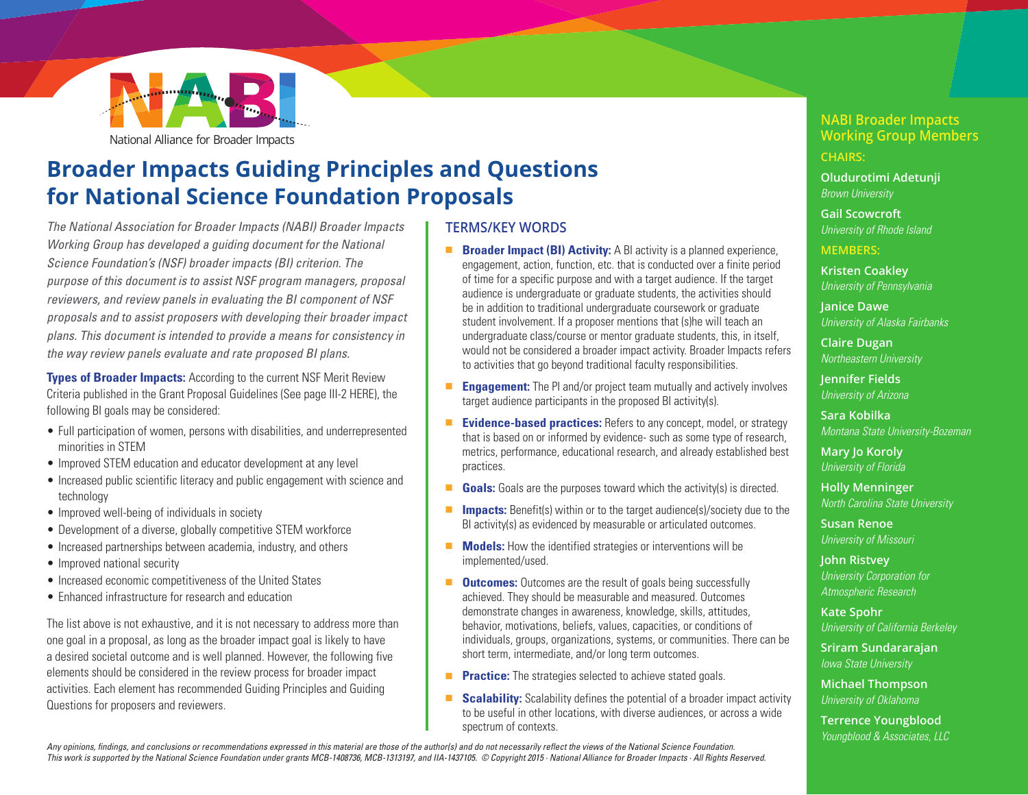

## **Broader Impacts Guiding Principles and Questions for National Science Foundation Proposals**

*The National Association for Broader Impacts (NABI) Broader Impacts Working Group has developed a guiding document for the National Science Foundation's (NSF) broader impacts (BI) criterion. The purpose of this document is to assist NSF program managers, proposal reviewers, and review panels in evaluating the BI component of NSF proposals and to assist proposers with developing their broader impact plans. This document is intended to provide a means for consistency in the way review panels evaluate and rate proposed BI plans.* 

**Types of Broader Impacts:** According to the current NSF Merit Review Criteria published in the Grant Proposal Guidelines (See page III-[2 HERE](http://www.nsf.gov/pubs/policydocs/pappguide/nsf15001/gpg_print.pdf)), the following BI goals may be considered:

- Full participation of women, persons with disabilities, and underrepresented minorities in STEM
- Improved STEM education and educator development at any level
- Increased public scientific literacy and public engagement with science and technology
- Improved well-being of individuals in society
- Development of a diverse, globally competitive STEM workforce
- Increased partnerships between academia, industry, and others
- Improved national security
- Increased economic competitiveness of the United States
- Enhanced infrastructure for research and education

The list above is not exhaustive, and it is not necessary to address more than one goal in a proposal, as long as the broader impact goal is likely to have a desired societal outcome and is well planned. However, the following five elements should be considered in the review process for broader impact activities. Each element has recommended Guiding Principles and Guiding Questions for proposers and reviewers.

#### **TERMS/KEY WORDS**

- **Broader Impact (BI) Activity:** A BI activity is a planned experience, engagement, action, function, etc. that is conducted over a finite period of time for a specific purpose and with a target audience. If the target audience is undergraduate or graduate students, the activities should be in addition to traditional undergraduate coursework or graduate student involvement. If a proposer mentions that (s)he will teach an undergraduate class/course or mentor graduate students, this, in itself, would not be considered a broader impact activity. Broader Impacts refers to activities that go beyond traditional faculty responsibilities.
- **Engagement:** The PI and/or project team mutually and actively involves target audience participants in the proposed BI activity(s).
- **Evidence-based practices:** Refers to any concept, model, or strategy that is based on or informed by evidence- such as some type of research, metrics, performance, educational research, and already established best practices.
- **Goals:** Goals are the purposes toward which the activity(s) is directed.
- **Impacts:** Benefit(s) within or to the target audience(s)/society due to the BI activity(s) as evidenced by measurable or articulated outcomes.
- **Models:** How the identified strategies or interventions will be implemented/used.
- **Outcomes:** Outcomes are the result of goals being successfully achieved. They should be measurable and measured. Outcomes demonstrate changes in awareness, knowledge, skills, attitudes, behavior, motivations, beliefs, values, capacities, or conditions of individuals, groups, organizations, systems, or communities. There can be short term, intermediate, and/or long term outcomes.
- **Practice:** The strategies selected to achieve stated goals.
- **Scalability:** Scalability defines the potential of a broader impact activity to be useful in other locations, with diverse audiences, or across a wide spectrum of contexts.

## **NABI Broader Impacts Working Group Members**

**CHAIRS:**

**Oludurotimi Adetunji** *Brown University*

**Gail Scowcroft** *University of Rhode Island*

**MEMBERS:** 

**Kristen Coakley** *University of Pennsylvania*

**Janice Dawe** *University of Alaska Fairbanks*

**Claire Dugan** *Northeastern University*

**Jennifer Fields** *University of Arizona*

**Sara Kobilka** *Montana State University-Bozeman*

**Mary Jo Koroly** *University of Florida*

**Holly Menninger** *North Carolina State University*

**Susan Renoe** *University of Missouri*

**John Ristvey** *University Corporation for Atmospheric Research*

**Kate Spohr** *University of California Berkeley*

**Sriram Sundararajan** *Iowa State University*

**Michael Thompson** *University of Oklahoma*

**Terrence Youngblood** *Youngblood & Associates, LLC*

*Any opinions, findings, and conclusions or recommendations expressed in this material are those of the author(s) and do not necessarily reflect the views of the National Science Foundation. This work is supported by the National Science Foundation under grants MCB-1408736, MCB-1313197, and IIA-1437105. © Copyright 2015 · National Alliance for Broader Impacts · All Rights Reserved.*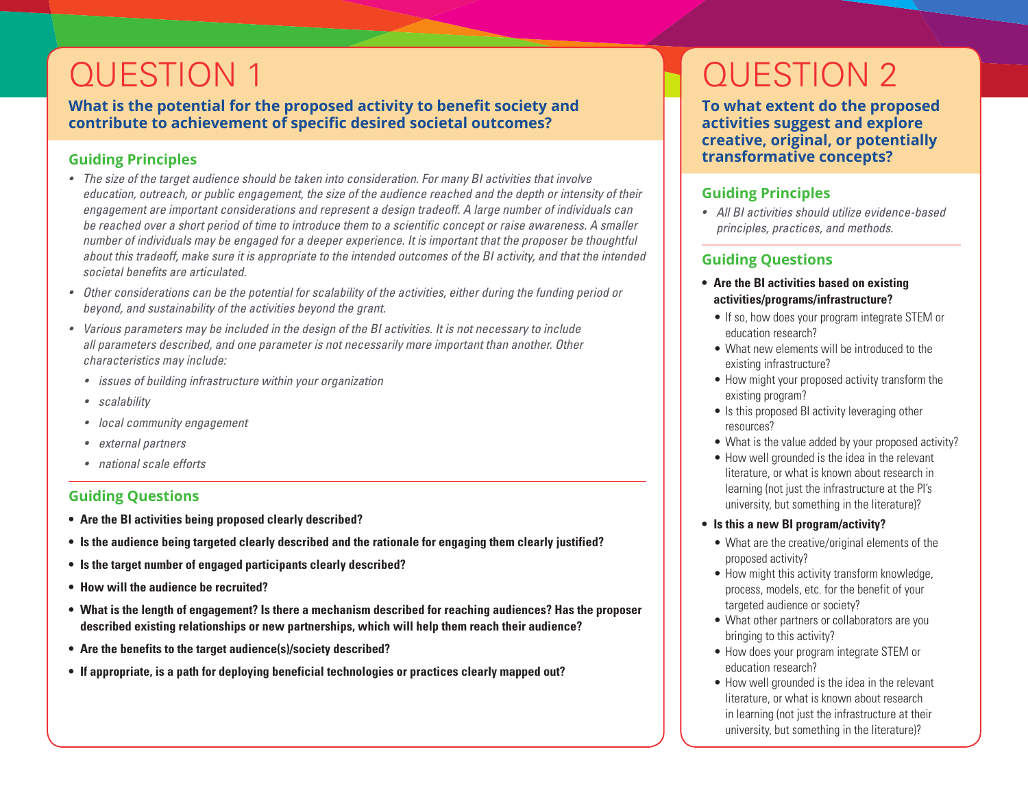## QUESTION 1

**What is the potential for the proposed activity to benefit society and contribute to achievement of specific desired societal outcomes?** 

## **Guiding Principles**

- *• The size of the target audience should be taken into consideration. For many BI activities that involve education, outreach, or public engagement, the size of the audience reached and the depth or intensity of their engagement are important considerations and represent a design tradeoff. A large number of individuals can be reached over a short period of time to introduce them to a scientific concept or raise awareness. A smaller number of individuals may be engaged for a deeper experience. It is important that the proposer be thoughtful about this tradeoff, make sure it is appropriate to the intended outcomes of the BI activity, and that the intended societal benefits are articulated.*
- *• Other considerations can be the potential for scalability of the activities, either during the funding period or beyond, and sustainability of the activities beyond the grant.*
- *• Various parameters may be included in the design of the BI activities. It is not necessary to include all parameters described, and one parameter is not necessarily more important than another. Other characteristics may include:*
	- *• issues of building infrastructure within your organization*
	- *• scalability*
	- *• local community engagement*
	- *• external partners*
	- *• national scale efforts*

## **Guiding Questions**

- **• Are the BI activities being proposed clearly described?**
- **• Is the audience being targeted clearly described and the rationale for engaging them clearly justified?**
- **• Is the target number of engaged participants clearly described?**
- **• How will the audience be recruited?**
- **• What is the length of engagement? Is there a mechanism described for reaching audiences? Has the proposer described existing relationships or new partnerships, which will help them reach their audience?**
- **• Are the benefits to the target audience(s)/society described?**
- **• If appropriate, is a path for deploying beneficial technologies or practices clearly mapped out?**

# QUESTION 2

**To what extent do the proposed activities suggest and explore creative, original, or potentially transformative concepts?**

## **Guiding Principles**

*• All BI activities should utilize evidence-based principles, practices, and methods.*

## **Guiding Questions**

- **• Are the BI activities based on existing activities/programs/infrastructure?**
- If so, how does your program integrate STEM or education research?
- What new elements will be introduced to the existing infrastructure?
- How might your proposed activity transform the existing program?
- Is this proposed BI activity leveraging other resources?
- What is the value added by your proposed activity?
- How well grounded is the idea in the relevant literature, or what is known about research in learning (not just the infrastructure at the PI's university, but something in the literature)?

#### **• Is this a new BI program/activity?**

- What are the creative/original elements of the proposed activity?
- How might this activity transform knowledge, process, models, etc. for the benefit of your targeted audience or society?
- What other partners or collaborators are you bringing to this activity?
- How does your program integrate STEM or education research?
- How well grounded is the idea in the relevant literature, or what is known about research in learning (not just the infrastructure at their university, but something in the literature)?